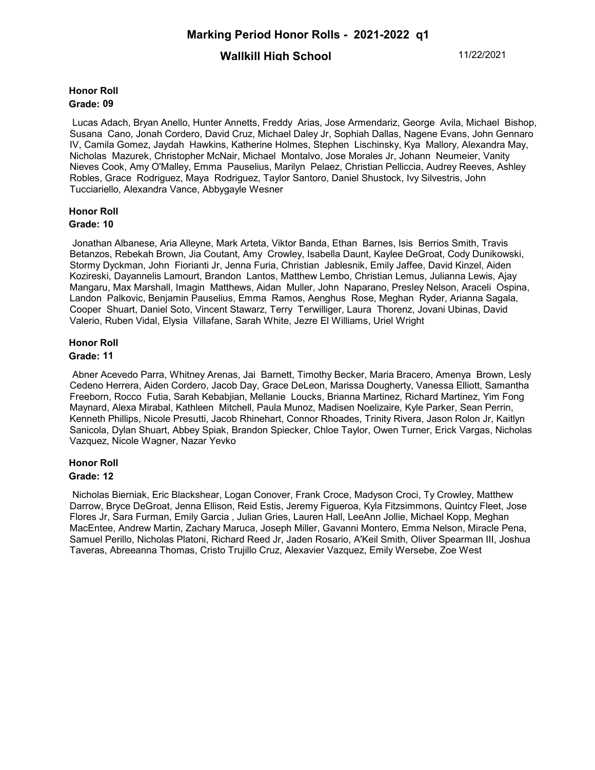# **Wallkill High School** 11/22/2021

### **Honor Roll Grade: 09**

Lucas Adach, Bryan Anello, Hunter Annetts, Freddy Arias, Jose Armendariz, George Avila, Michael Bishop, Susana Cano, Jonah Cordero, David Cruz, Michael Daley Jr, Sophiah Dallas, Nagene Evans, John Gennaro IV, Camila Gomez, Jaydah Hawkins, Katherine Holmes, Stephen Lischinsky, Kya Mallory, Alexandra May, Nicholas Mazurek, Christopher McNair, Michael Montalvo, Jose Morales Jr, Johann Neumeier, Vanity Nieves Cook, Amy O'Malley, Emma Pauselius, Marilyn Pelaez, Christian Pelliccia, Audrey Reeves, Ashley Robles, Grace Rodriguez, Maya Rodriguez, Taylor Santoro, Daniel Shustock, Ivy Silvestris, John Tucciariello, Alexandra Vance, Abbygayle Wesner

# **Honor Roll**

### **Grade: 10**

Jonathan Albanese, Aria Alleyne, Mark Arteta, Viktor Banda, Ethan Barnes, Isis Berrios Smith, Travis Betanzos, Rebekah Brown, Jia Coutant, Amy Crowley, Isabella Daunt, Kaylee DeGroat, Cody Dunikowski, Stormy Dyckman, John Fiorianti Jr, Jenna Furia, Christian Jablesnik, Emily Jaffee, David Kinzel, Aiden Kozireski, Dayannelis Lamourt, Brandon Lantos, Matthew Lembo, Christian Lemus, Julianna Lewis, Ajay Mangaru, Max Marshall, Imagin Matthews, Aidan Muller, John Naparano, Presley Nelson, Araceli Ospina, Landon Palkovic, Benjamin Pauselius, Emma Ramos, Aenghus Rose, Meghan Ryder, Arianna Sagala, Cooper Shuart, Daniel Soto, Vincent Stawarz, Terry Terwilliger, Laura Thorenz, Jovani Ubinas, David Valerio, Ruben Vidal, Elysia Villafane, Sarah White, Jezre El Williams, Uriel Wright

## **Honor Roll**

### **Grade: 11**

Abner Acevedo Parra, Whitney Arenas, Jai Barnett, Timothy Becker, Maria Bracero, Amenya Brown, Lesly Cedeno Herrera, Aiden Cordero, Jacob Day, Grace DeLeon, Marissa Dougherty, Vanessa Elliott, Samantha Freeborn, Rocco Futia, Sarah Kebabjian, Mellanie Loucks, Brianna Martinez, Richard Martinez, Yim Fong Maynard, Alexa Mirabal, Kathleen Mitchell, Paula Munoz, Madisen Noelizaire, Kyle Parker, Sean Perrin, Kenneth Phillips, Nicole Presutti, Jacob Rhinehart, Connor Rhoades, Trinity Rivera, Jason Rolon Jr, Kaitlyn Sanicola, Dylan Shuart, Abbey Spiak, Brandon Spiecker, Chloe Taylor, Owen Turner, Erick Vargas, Nicholas Vazquez, Nicole Wagner, Nazar Yevko

# **Honor Roll**

## **Grade: 12**

 Nicholas Bierniak, Eric Blackshear, Logan Conover, Frank Croce, Madyson Croci, Ty Crowley, Matthew Darrow, Bryce DeGroat, Jenna Ellison, Reid Estis, Jeremy Figueroa, Kyla Fitzsimmons, Quintcy Fleet, Jose Flores Jr, Sara Furman, Emily Garcia , Julian Gries, Lauren Hall, LeeAnn Jollie, Michael Kopp, Meghan MacEntee, Andrew Martin, Zachary Maruca, Joseph Miller, Gavanni Montero, Emma Nelson, Miracle Pena, Samuel Perillo, Nicholas Platoni, Richard Reed Jr, Jaden Rosario, A'Keil Smith, Oliver Spearman III, Joshua Taveras, Abreeanna Thomas, Cristo Trujillo Cruz, Alexavier Vazquez, Emily Wersebe, Zoe West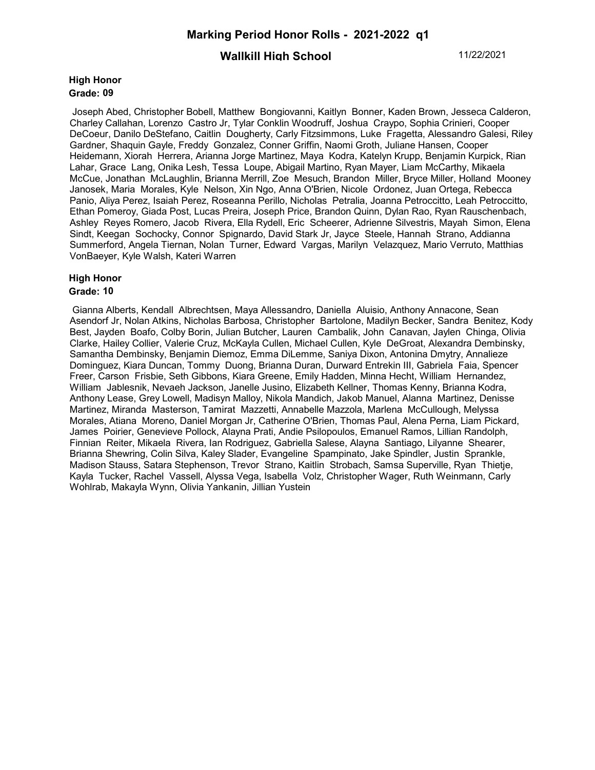# **Wallkill High School** 11/22/2021

#### **High Honor Grade: 09**

Joseph Abed, Christopher Bobell, Matthew Bongiovanni, Kaitlyn Bonner, Kaden Brown, Jesseca Calderon, Charley Callahan, Lorenzo Castro Jr, Tylar Conklin Woodruff, Joshua Craypo, Sophia Crinieri, Cooper DeCoeur, Danilo DeStefano, Caitlin Dougherty, Carly Fitzsimmons, Luke Fragetta, Alessandro Galesi, Riley Gardner, Shaquin Gayle, Freddy Gonzalez, Conner Griffin, Naomi Groth, Juliane Hansen, Cooper Heidemann, Xiorah Herrera, Arianna Jorge Martinez, Maya Kodra, Katelyn Krupp, Benjamin Kurpick, Rian Lahar, Grace Lang, Onika Lesh, Tessa Loupe, Abigail Martino, Ryan Mayer, Liam McCarthy, Mikaela McCue, Jonathan McLaughlin, Brianna Merrill, Zoe Mesuch, Brandon Miller, Bryce Miller, Holland Mooney Janosek, Maria Morales, Kyle Nelson, Xin Ngo, Anna O'Brien, Nicole Ordonez, Juan Ortega, Rebecca Panio, Aliya Perez, Isaiah Perez, Roseanna Perillo, Nicholas Petralia, Joanna Petroccitto, Leah Petroccitto, Ethan Pomeroy, Giada Post, Lucas Preira, Joseph Price, Brandon Quinn, Dylan Rao, Ryan Rauschenbach, Ashley Reyes Romero, Jacob Rivera, Ella Rydell, Eric Scheerer, Adrienne Silvestris, Mayah Simon, Elena Sindt, Keegan Sochocky, Connor Spignardo, David Stark Jr, Jayce Steele, Hannah Strano, Addianna Summerford, Angela Tiernan, Nolan Turner, Edward Vargas, Marilyn Velazquez, Mario Verruto, Matthias VonBaeyer, Kyle Walsh, Kateri Warren

### **High Honor Grade: 10**

Gianna Alberts, Kendall Albrechtsen, Maya Allessandro, Daniella Aluisio, Anthony Annacone, Sean Asendorf Jr, Nolan Atkins, Nicholas Barbosa, Christopher Bartolone, Madilyn Becker, Sandra Benitez, Kody Best, Jayden Boafo, Colby Borin, Julian Butcher, Lauren Cambalik, John Canavan, Jaylen Chinga, Olivia Clarke, Hailey Collier, Valerie Cruz, McKayla Cullen, Michael Cullen, Kyle DeGroat, Alexandra Dembinsky, Samantha Dembinsky, Benjamin Diemoz, Emma DiLemme, Saniya Dixon, Antonina Dmytry, Annalieze Dominguez, Kiara Duncan, Tommy Duong, Brianna Duran, Durward Entrekin III, Gabriela Faia, Spencer Freer, Carson Frisbie, Seth Gibbons, Kiara Greene, Emily Hadden, Minna Hecht, William Hernandez, William Jablesnik, Nevaeh Jackson, Janelle Jusino, Elizabeth Kellner, Thomas Kenny, Brianna Kodra, Anthony Lease, Grey Lowell, Madisyn Malloy, Nikola Mandich, Jakob Manuel, Alanna Martinez, Denisse Martinez, Miranda Masterson, Tamirat Mazzetti, Annabelle Mazzola, Marlena McCullough, Melyssa Morales, Atiana Moreno, Daniel Morgan Jr, Catherine O'Brien, Thomas Paul, Alena Perna, Liam Pickard, James Poirier, Genevieve Pollock, Alayna Prati, Andie Psilopoulos, Emanuel Ramos, Lillian Randolph, Finnian Reiter, Mikaela Rivera, Ian Rodriguez, Gabriella Salese, Alayna Santiago, Lilyanne Shearer, Brianna Shewring, Colin Silva, Kaley Slader, Evangeline Spampinato, Jake Spindler, Justin Sprankle, Madison Stauss, Satara Stephenson, Trevor Strano, Kaitlin Strobach, Samsa Superville, Ryan Thietje, Kayla Tucker, Rachel Vassell, Alyssa Vega, Isabella Volz, Christopher Wager, Ruth Weinmann, Carly Wohlrab, Makayla Wynn, Olivia Yankanin, Jillian Yustein